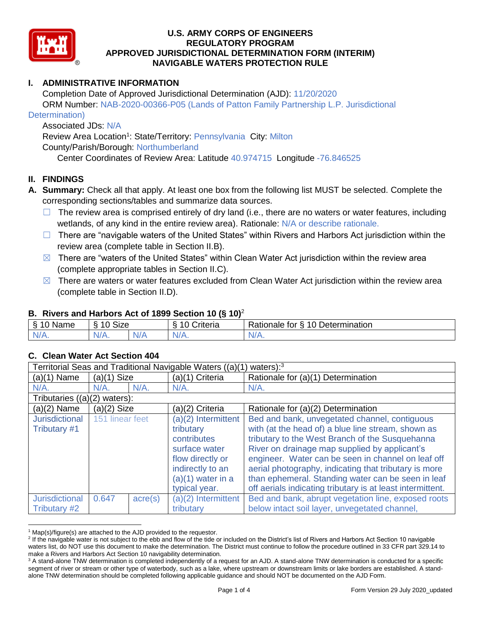

# **I. ADMINISTRATIVE INFORMATION**

Completion Date of Approved Jurisdictional Determination (AJD): 11/20/2020 ORM Number: NAB-2020-00366-P05 (Lands of Patton Family Partnership L.P. Jurisdictional

#### Determination)

# Associated JDs: N/A

Review Area Location<sup>1</sup>: State/Territory: Pennsylvania City: Milton

County/Parish/Borough: Northumberland

Center Coordinates of Review Area: Latitude 40.974715 Longitude -76.846525

# **II. FINDINGS**

- **A. Summary:** Check all that apply. At least one box from the following list MUST be selected. Complete the corresponding sections/tables and summarize data sources.
	- $\Box$  The review area is comprised entirely of dry land (i.e., there are no waters or water features, including wetlands, of any kind in the entire review area). Rationale: N/A or describe rationale.
	- $\Box$  There are "navigable waters of the United States" within Rivers and Harbors Act jurisdiction within the review area (complete table in Section II.B).
	- $\boxtimes$  There are "waters of the United States" within Clean Water Act jurisdiction within the review area (complete appropriate tables in Section II.C).
	- $\boxtimes$  There are waters or water features excluded from Clean Water Act jurisdiction within the review area (complete table in Section II.D).

### **B. Rivers and Harbors Act of 1899 Section 10 (§ 10)**<sup>2</sup>

| . .          |                            |          |            |                                               |
|--------------|----------------------------|----------|------------|-----------------------------------------------|
| Name         | $\sim$<br>ָ<br>SIZE<br>. . |          | `riteria   | <b>Determination</b><br>-<br>⊀atıonale<br>tor |
| $\mathbf{v}$ | N/F                        | AU.<br>. | $N_{\ell}$ | W.                                            |

### **C. Clean Water Act Section 404**

| Territorial Seas and Traditional Navigable Waters ((a)(1) waters): <sup>3</sup> |                 |                  |                                                                                                                                                  |                                                                                                                                                                                                                                                                                                                                                                                                                                            |
|---------------------------------------------------------------------------------|-----------------|------------------|--------------------------------------------------------------------------------------------------------------------------------------------------|--------------------------------------------------------------------------------------------------------------------------------------------------------------------------------------------------------------------------------------------------------------------------------------------------------------------------------------------------------------------------------------------------------------------------------------------|
| $(a)(1)$ Name                                                                   | $(a)(1)$ Size   |                  | (a)(1) Criteria                                                                                                                                  | Rationale for (a)(1) Determination                                                                                                                                                                                                                                                                                                                                                                                                         |
| $N/A$ .                                                                         | $N/A$ .<br>N/A. |                  | $N/A$ .                                                                                                                                          | $N/A$ .                                                                                                                                                                                                                                                                                                                                                                                                                                    |
| Tributaries $((a)(2)$ waters):                                                  |                 |                  |                                                                                                                                                  |                                                                                                                                                                                                                                                                                                                                                                                                                                            |
| $(a)(2)$ Name                                                                   | $(a)(2)$ Size   |                  | (a)(2) Criteria                                                                                                                                  | Rationale for (a)(2) Determination                                                                                                                                                                                                                                                                                                                                                                                                         |
| <b>Jurisdictional</b><br>Tributary #1                                           | 151 linear feet |                  | (a)(2) Intermittent<br>tributary<br>contributes<br>surface water<br>flow directly or<br>indirectly to an<br>$(a)(1)$ water in a<br>typical year. | Bed and bank, unvegetated channel, contiguous<br>with (at the head of) a blue line stream, shown as<br>tributary to the West Branch of the Susquehanna<br>River on drainage map supplied by applicant's<br>engineer. Water can be seen in channel on leaf off<br>aerial photography, indicating that tributary is more<br>than ephemeral. Standing water can be seen in leaf<br>off aerials indicating tributary is at least intermittent. |
| <b>Jurisdictional</b><br>Tributary #2                                           | 0.647           | $\text{acre}(s)$ | (a)(2) Intermittent<br>tributary                                                                                                                 | Bed and bank, abrupt vegetation line, exposed roots<br>below intact soil layer, unvegetated channel,                                                                                                                                                                                                                                                                                                                                       |

  $1$  Map(s)/figure(s) are attached to the AJD provided to the requestor.

<sup>&</sup>lt;sup>2</sup> If the navigable water is not subject to the ebb and flow of the tide or included on the District's list of Rivers and Harbors Act Section 10 navigable waters list, do NOT use this document to make the determination. The District must continue to follow the procedure outlined in 33 CFR part 329.14 to make a Rivers and Harbors Act Section 10 navigability determination.

<sup>&</sup>lt;sup>3</sup> A stand-alone TNW determination is completed independently of a request for an AJD. A stand-alone TNW determination is conducted for a specific segment of river or stream or other type of waterbody, such as a lake, where upstream or downstream limits or lake borders are established. A standalone TNW determination should be completed following applicable guidance and should NOT be documented on the AJD Form.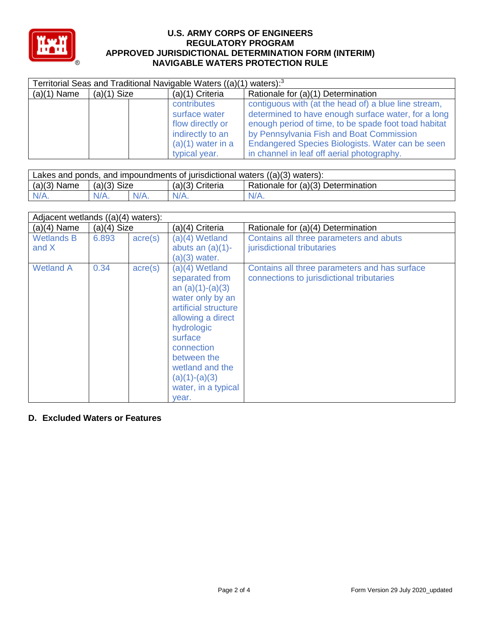

| Territorial Seas and Traditional Navigable Waters ((a)(1)<br>waters $):$ <sup>3</sup> |               |                     |                                                      |  |
|---------------------------------------------------------------------------------------|---------------|---------------------|------------------------------------------------------|--|
| $(a)(1)$ Name                                                                         | $(a)(1)$ Size | $(a)(1)$ Criteria   | Rationale for (a)(1) Determination                   |  |
|                                                                                       |               | contributes         | contiguous with (at the head of) a blue line stream, |  |
|                                                                                       |               | surface water       | determined to have enough surface water, for a long  |  |
|                                                                                       |               | flow directly or    | enough period of time, to be spade foot toad habitat |  |
|                                                                                       |               | indirectly to an    | by Pennsylvania Fish and Boat Commission             |  |
|                                                                                       |               | $(a)(1)$ water in a | Endangered Species Biologists. Water can be seen     |  |
|                                                                                       |               | typical year.       | in channel in leaf off aerial photography.           |  |

| Lakes and ponds, and impoundments of jurisdictional waters $((a)(3)$ waters): |               |         |                 |                                    |
|-------------------------------------------------------------------------------|---------------|---------|-----------------|------------------------------------|
| $(a)(3)$ Name                                                                 | $(a)(3)$ Size |         | (a)(3) Criteria | Rationale for (a)(3) Determination |
| $N/A$ .                                                                       |               | $N/A$ . | $N/A$ .         | $N/A$ .                            |

| Adjacent wetlands $((a)(4)$ waters): |               |                  |                                                                                                                                                                                                                                                       |                                                                                            |  |
|--------------------------------------|---------------|------------------|-------------------------------------------------------------------------------------------------------------------------------------------------------------------------------------------------------------------------------------------------------|--------------------------------------------------------------------------------------------|--|
| $(a)(4)$ Name                        | $(a)(4)$ Size |                  | (a)(4) Criteria                                                                                                                                                                                                                                       | Rationale for (a)(4) Determination                                                         |  |
| <b>Wetlands B</b><br>and X           | 6.893         | $\text{acre}(s)$ | $(a)(4)$ Wetland<br>abuts an $(a)(1)$ -<br>$(a)(3)$ water.                                                                                                                                                                                            | Contains all three parameters and abuts<br>jurisdictional tributaries                      |  |
| <b>Wetland A</b>                     | 0.34          | $\text{acre}(s)$ | $(a)(4)$ Wetland<br>separated from<br>an $(a)(1)-(a)(3)$<br>water only by an<br>artificial structure<br>allowing a direct<br>hydrologic<br>surface<br>connection<br>between the<br>wetland and the<br>$(a)(1)-(a)(3)$<br>water, in a typical<br>year. | Contains all three parameters and has surface<br>connections to jurisdictional tributaries |  |

## **D. Excluded Waters or Features**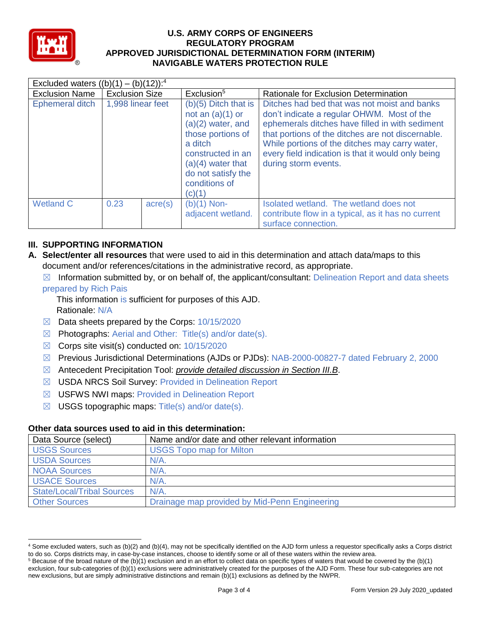

| Excluded waters $((b)(1) - (b)(12))$ : <sup>4</sup> |                       |                  |                                                                                                                                                                                                  |                                                                                                                                                                                                                                                                                                                                    |  |
|-----------------------------------------------------|-----------------------|------------------|--------------------------------------------------------------------------------------------------------------------------------------------------------------------------------------------------|------------------------------------------------------------------------------------------------------------------------------------------------------------------------------------------------------------------------------------------------------------------------------------------------------------------------------------|--|
| <b>Exclusion Name</b>                               | <b>Exclusion Size</b> |                  | Exclusion <sup>5</sup>                                                                                                                                                                           | Rationale for Exclusion Determination                                                                                                                                                                                                                                                                                              |  |
| Ephemeral ditch                                     | 1,998 linear feet     |                  | $(b)(5)$ Ditch that is<br>not an $(a)(1)$ or<br>$(a)(2)$ water, and<br>those portions of<br>a ditch<br>constructed in an<br>$(a)(4)$ water that<br>do not satisfy the<br>conditions of<br>(c)(1) | Ditches had bed that was not moist and banks<br>don't indicate a regular OHWM. Most of the<br>ephemerals ditches have filled in with sediment<br>that portions of the ditches are not discernable.<br>While portions of the ditches may carry water,<br>every field indication is that it would only being<br>during storm events. |  |
| <b>Wetland C</b>                                    | 0.23                  | $\text{acre}(s)$ | $(b)(1)$ Non-<br>adjacent wetland.                                                                                                                                                               | Isolated wetland. The wetland does not<br>contribute flow in a typical, as it has no current<br>surface connection.                                                                                                                                                                                                                |  |

# **III. SUPPORTING INFORMATION**

- **A. Select/enter all resources** that were used to aid in this determination and attach data/maps to this document and/or references/citations in the administrative record, as appropriate.
	- $\boxtimes$  Information submitted by, or on behalf of, the applicant/consultant: Delineation Report and data sheets

#### prepared by Rich Pais

This information is sufficient for purposes of this AJD. Rationale: N/A

- $\boxtimes$  Data sheets prepared by the Corps: 10/15/2020
- $\boxtimes$  Photographs: Aerial and Other: Title(s) and/or date(s).
- ☒ Corps site visit(s) conducted on: 10/15/2020
- ☒ Previous Jurisdictional Determinations (AJDs or PJDs): NAB-2000-00827-7 dated February 2, 2000
- ☒ Antecedent Precipitation Tool: *provide detailed discussion in Section III.B*.
- ☒ USDA NRCS Soil Survey: Provided in Delineation Report
- ☒ USFWS NWI maps: Provided in Delineation Report
- $\boxtimes$  USGS topographic maps: Title(s) and/or date(s).

### **Other data sources used to aid in this determination:**

| Data Source (select)              | Name and/or date and other relevant information |
|-----------------------------------|-------------------------------------------------|
| <b>USGS Sources</b>               | <b>USGS Topo map for Milton</b>                 |
| <b>USDA Sources</b>               | $N/A$ .                                         |
| <b>NOAA Sources</b>               | $N/A$ .                                         |
| <b>USACE Sources</b>              | $N/A$ .                                         |
| <b>State/Local/Tribal Sources</b> | N/A                                             |
| <b>Other Sources</b>              | Drainage map provided by Mid-Penn Engineering   |

 <sup>4</sup> Some excluded waters, such as (b)(2) and (b)(4), may not be specifically identified on the AJD form unless a requestor specifically asks a Corps district to do so. Corps districts may, in case-by-case instances, choose to identify some or all of these waters within the review area.

 $5$  Because of the broad nature of the (b)(1) exclusion and in an effort to collect data on specific types of waters that would be covered by the (b)(1) exclusion, four sub-categories of (b)(1) exclusions were administratively created for the purposes of the AJD Form. These four sub-categories are not new exclusions, but are simply administrative distinctions and remain (b)(1) exclusions as defined by the NWPR.